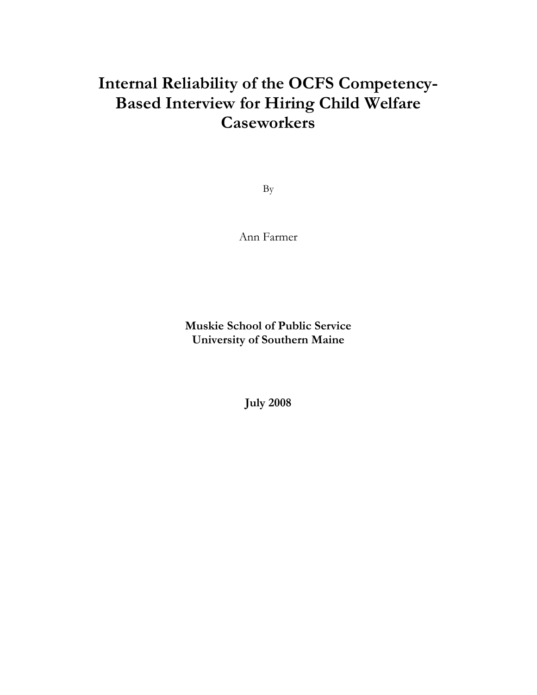# **Internal Reliability of the OCFS Competency-Based Interview for Hiring Child Welfare Caseworkers**

By

Ann Farmer

**Muskie School of Public Service University of Southern Maine** 

**July 2008**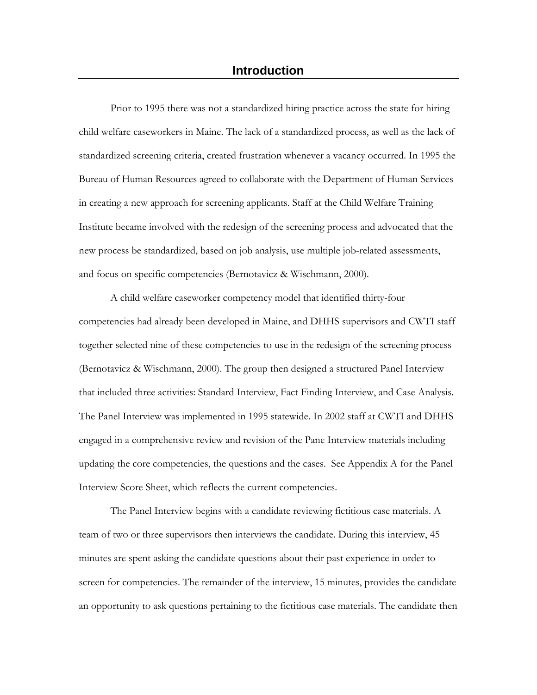Prior to 1995 there was not a standardized hiring practice across the state for hiring child welfare caseworkers in Maine. The lack of a standardized process, as well as the lack of standardized screening criteria, created frustration whenever a vacancy occurred. In 1995 the Bureau of Human Resources agreed to collaborate with the Department of Human Services in creating a new approach for screening applicants. Staff at the Child Welfare Training Institute became involved with the redesign of the screening process and advocated that the new process be standardized, based on job analysis, use multiple job-related assessments, and focus on specific competencies (Bernotavicz & Wischmann, 2000).

A child welfare caseworker competency model that identified thirty-four competencies had already been developed in Maine, and DHHS supervisors and CWTI staff together selected nine of these competencies to use in the redesign of the screening process (Bernotavicz & Wischmann, 2000). The group then designed a structured Panel Interview that included three activities: Standard Interview, Fact Finding Interview, and Case Analysis. The Panel Interview was implemented in 1995 statewide. In 2002 staff at CWTI and DHHS engaged in a comprehensive review and revision of the Pane Interview materials including updating the core competencies, the questions and the cases. See Appendix A for the Panel Interview Score Sheet, which reflects the current competencies.

The Panel Interview begins with a candidate reviewing fictitious case materials. A team of two or three supervisors then interviews the candidate. During this interview, 45 minutes are spent asking the candidate questions about their past experience in order to screen for competencies. The remainder of the interview, 15 minutes, provides the candidate an opportunity to ask questions pertaining to the fictitious case materials. The candidate then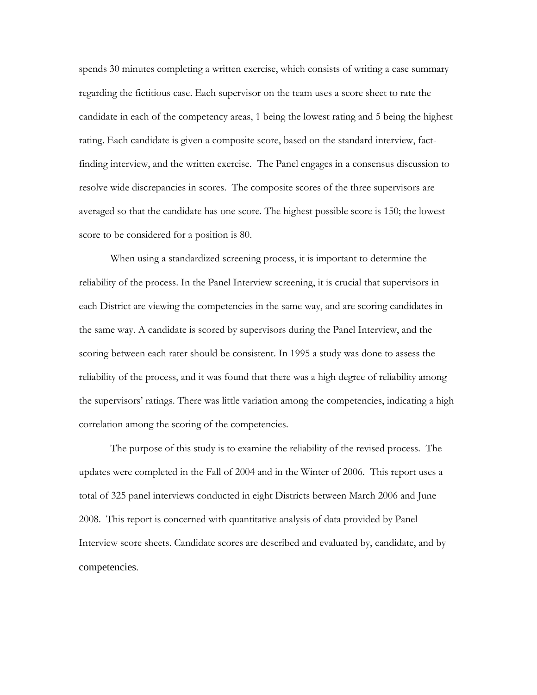spends 30 minutes completing a written exercise, which consists of writing a case summary regarding the fictitious case. Each supervisor on the team uses a score sheet to rate the candidate in each of the competency areas, 1 being the lowest rating and 5 being the highest rating. Each candidate is given a composite score, based on the standard interview, factfinding interview, and the written exercise. The Panel engages in a consensus discussion to resolve wide discrepancies in scores. The composite scores of the three supervisors are averaged so that the candidate has one score. The highest possible score is 150; the lowest score to be considered for a position is 80.

When using a standardized screening process, it is important to determine the reliability of the process. In the Panel Interview screening, it is crucial that supervisors in each District are viewing the competencies in the same way, and are scoring candidates in the same way. A candidate is scored by supervisors during the Panel Interview, and the scoring between each rater should be consistent. In 1995 a study was done to assess the reliability of the process, and it was found that there was a high degree of reliability among the supervisors' ratings. There was little variation among the competencies, indicating a high correlation among the scoring of the competencies.

The purpose of this study is to examine the reliability of the revised process. The updates were completed in the Fall of 2004 and in the Winter of 2006. This report uses a total of 325 panel interviews conducted in eight Districts between March 2006 and June 2008. This report is concerned with quantitative analysis of data provided by Panel Interview score sheets. Candidate scores are described and evaluated by, candidate, and by competencies.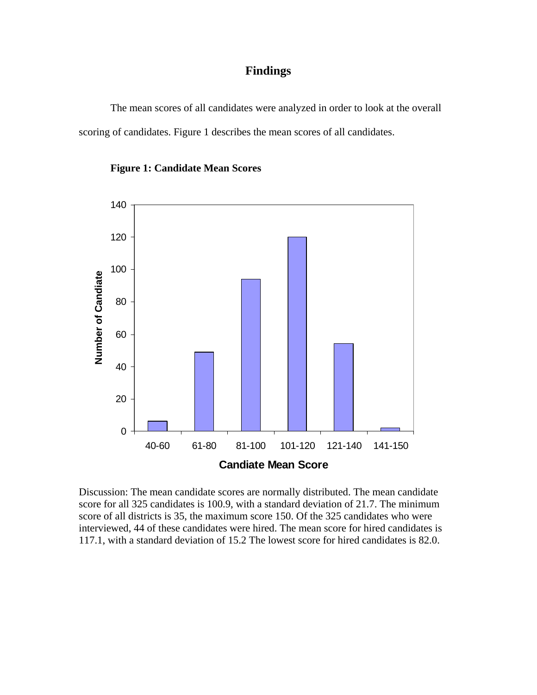### **Findings**

 The mean scores of all candidates were analyzed in order to look at the overall scoring of candidates. Figure 1 describes the mean scores of all candidates.



**Figure 1: Candidate Mean Scores** 

Discussion: The mean candidate scores are normally distributed. The mean candidate score for all 325 candidates is 100.9, with a standard deviation of 21.7. The minimum score of all districts is 35, the maximum score 150. Of the 325 candidates who were interviewed, 44 of these candidates were hired. The mean score for hired candidates is 117.1, with a standard deviation of 15.2 The lowest score for hired candidates is 82.0.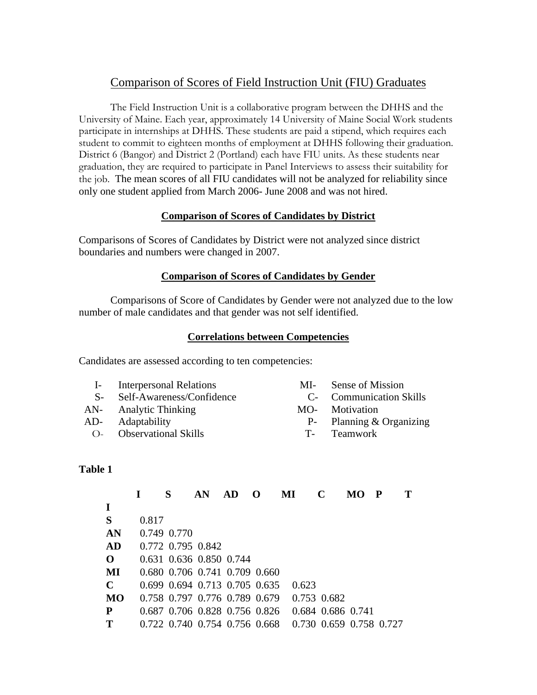## Comparison of Scores of Field Instruction Unit (FIU) Graduates

 The Field Instruction Unit is a collaborative program between the DHHS and the University of Maine. Each year, approximately 14 University of Maine Social Work students participate in internships at DHHS. These students are paid a stipend, which requires each student to commit to eighteen months of employment at DHHS following their graduation. District 6 (Bangor) and District 2 (Portland) each have FIU units. As these students near graduation, they are required to participate in Panel Interviews to assess their suitability for the job. The mean scores of all FIU candidates will not be analyzed for reliability since only one student applied from March 2006- June 2008 and was not hired.

#### **Comparison of Scores of Candidates by District**

Comparisons of Scores of Candidates by District were not analyzed since district boundaries and numbers were changed in 2007.

#### **Comparison of Scores of Candidates by Gender**

Comparisons of Score of Candidates by Gender were not analyzed due to the low number of male candidates and that gender was not self identified.

#### **Correlations between Competencies**

Candidates are assessed according to ten competencies:

| <b>Interpersonal Relations</b> |  |
|--------------------------------|--|
|                                |  |

- S- Self-Awareness/Confidence C- Communication Skills
- AN- Analytic Thinking MO- Motivation
- - O- Observational Skills T- Teamwork
- MI- Sense of Mission
	-
- 
- AD- Adaptability P- Planning & Organizing
	-

#### **Table 1**

|              |       | S           | AN                                      | AD. | $\Omega$ | MI          | C                 | MO                      | $\mathbf P$ |  |
|--------------|-------|-------------|-----------------------------------------|-----|----------|-------------|-------------------|-------------------------|-------------|--|
| $\mathbf I$  |       |             |                                         |     |          |             |                   |                         |             |  |
| S            | 0.817 |             |                                         |     |          |             |                   |                         |             |  |
| AN           |       | 0.749 0.770 |                                         |     |          |             |                   |                         |             |  |
| AD           |       |             | 0.772 0.795 0.842                       |     |          |             |                   |                         |             |  |
| $\mathbf{O}$ |       |             | 0.631 0.636 0.850 0.744                 |     |          |             |                   |                         |             |  |
| MI           |       |             | 0.680 0.706 0.741 0.709 0.660           |     |          |             |                   |                         |             |  |
| $\mathbf C$  |       |             | $0.699$ $0.694$ $0.713$ $0.705$ $0.635$ |     |          | 0.623       |                   |                         |             |  |
| <b>MO</b>    |       |             | 0.758 0.797 0.776 0.789 0.679           |     |          | 0.753 0.682 |                   |                         |             |  |
| P            |       |             | 0.687 0.706 0.828 0.756 0.826           |     |          |             | 0.684 0.686 0.741 |                         |             |  |
| T            |       |             | 0.722 0.740 0.754 0.756 0.668           |     |          |             |                   | 0.730 0.659 0.758 0.727 |             |  |